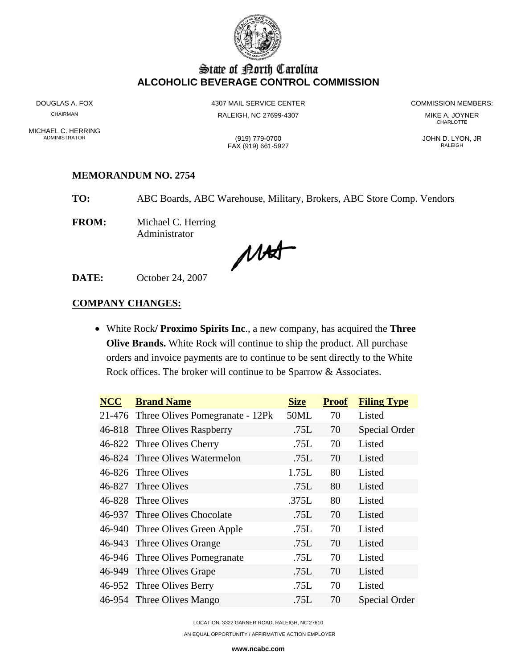

# State of Borth Carolina **ALCOHOLIC BEVERAGE CONTROL COMMISSION**

MICHAEL C. HERRING<br>ADMINISTRATOR

DOUGLAS A. FOX **ALCORY COMMISSION MEMBERS:** 4307 MAIL SERVICE CENTER **COMMISSION MEMBERS:** CHAIRMAN RALEIGH, NC 27699-4307 MIKE A. JOYNER

**CHARLOTTE** 

(919) 779-0700<br>AX (919) 661-5927 (2000) 2000 DISTRATOR RALEIGH

FAX (919) 661-5927

### **MEMORANDUM NO. 2754**

**TO:** ABC Boards, ABC Warehouse, Military, Brokers, ABC Store Comp. Vendors

**FROM:** Michael C. Herring Administrator

MAS

**DATE:** October 24, 2007

### **COMPANY CHANGES:**

• White Rock**/ Proximo Spirits Inc**., a new company, has acquired the **Three Olive Brands.** White Rock will continue to ship the product. All purchase orders and invoice payments are to continue to be sent directly to the White Rock offices. The broker will continue to be Sparrow & Associates.

| <b>NCC</b> | <b>Brand Name</b>                      | <b>Size</b> | <b>Proof</b> | <b>Filing Type</b> |
|------------|----------------------------------------|-------------|--------------|--------------------|
|            | 21-476 Three Olives Pomegranate - 12Pk | 50ML        | 70           | Listed             |
|            | 46-818 Three Olives Raspberry          | .75L        | 70           | Special Order      |
|            | 46-822 Three Olives Cherry             | .75L        | 70           | Listed             |
|            | 46-824 Three Olives Watermelon         | .75L        | 70           | Listed             |
|            | 46-826 Three Olives                    | 1.75L       | 80           | Listed             |
|            | 46-827 Three Olives                    | .75L        | 80           | Listed             |
|            | 46-828 Three Olives                    | .375L       | 80           | Listed             |
|            | 46-937 Three Olives Chocolate          | .75L        | 70           | Listed             |
|            | 46-940 Three Olives Green Apple        | .75L        | 70           | Listed             |
|            | 46-943 Three Olives Orange             | .75L        | 70           | Listed             |
|            | 46-946 Three Olives Pomegranate        | .75L        | 70           | Listed             |
|            | 46-949 Three Olives Grape              | .75L        | 70           | Listed             |
|            | 46-952 Three Olives Berry              | .75L        | 70           | Listed             |
|            | 46-954 Three Olives Mango              | .75L        | 70           | Special Order      |
|            |                                        |             |              |                    |

LOCATION: 3322 GARNER ROAD, RALEIGH, NC 27610

AN EQUAL OPPORTUNITY / AFFIRMATIVE ACTION EMPLOYER

**www.ncabc.com**